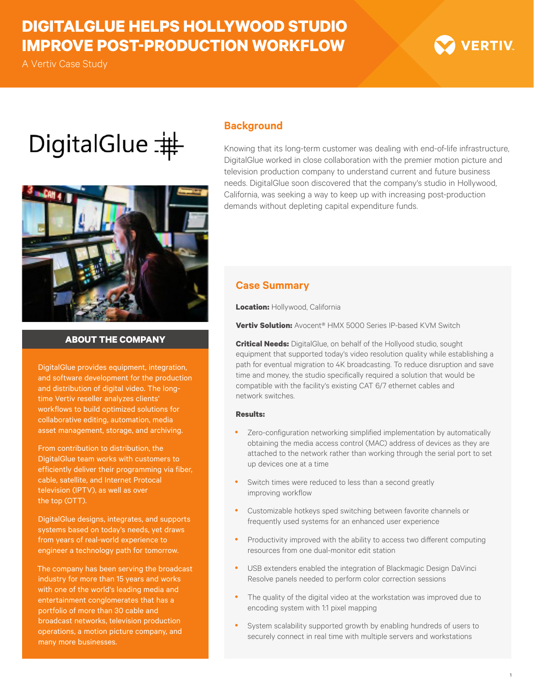## **DIGITALGLUE HELPS HOLLYWOOD STUDIO IMPROVE POST-PRODUCTION WORKFLOW**

A Vertiv Case Study

# **VERTIV**

# DigitalGlue  $\pm$



#### **ABOUT THE COMPANY**

DigitalGlue provides equipment, integration, and software development for the production and distribution of digital video. The longtime Vertiv reseller analyzes clients' workflows to build optimized solutions for collaborative editing, automation, media asset management, storage, and archiving.

From contribution to distribution, the DigitalGlue team works with customers to efficiently deliver their programming via fiber, cable, satellite, and Internet Protocal television (IPTV), as well as over the top (OTT).

DigitalGlue designs, integrates, and supports systems based on today's needs, yet draws from years of real-world experience to engineer a technology path for tomorrow.

The company has been serving the broadcast industry for more than 15 years and works with one of the world's leading media and entertainment conglomerates that has a portfolio of more than 30 cable and broadcast networks, television production operations, a motion picture company, and

#### **Background**

Knowing that its long-term customer was dealing with end-of-life infrastructure, DigitalGlue worked in close collaboration with the premier motion picture and television production company to understand current and future business needs. DigitalGlue soon discovered that the company's studio in Hollywood, California, was seeking a way to keep up with increasing post-production demands without depleting capital expenditure funds.

#### **Case Summary**

**Location:** Hollywood, California

**Vertiv Solution:** Avocent® HMX 5000 Series IP-based KVM Switch

**Critical Needs:** DigitalGlue, on behalf of the Hollyood studio, sought equipment that supported today's video resolution quality while establishing a path for eventual migration to 4K broadcasting. To reduce disruption and save time and money, the studio specifically required a solution that would be compatible with the facility's existing CAT 6/7 ethernet cables and network switches.

#### **Results:**

- Zero-configuration networking simplified implementation by automatically obtaining the media access control (MAC) address of devices as they are attached to the network rather than working through the serial port to set up devices one at a time
- Switch times were reduced to less than a second greatly improving workflow
- Customizable hotkeys sped switching between favorite channels or frequently used systems for an enhanced user experience
- Productivity improved with the ability to access two different computing resources from one dual-monitor edit station
- USB extenders enabled the integration of Blackmagic Design DaVinci Resolve panels needed to perform color correction sessions
- The quality of the digital video at the workstation was improved due to encoding system with 1:1 pixel mapping
- System scalability supported growth by enabling hundreds of users to securely connect in real time with multiple servers and workstations